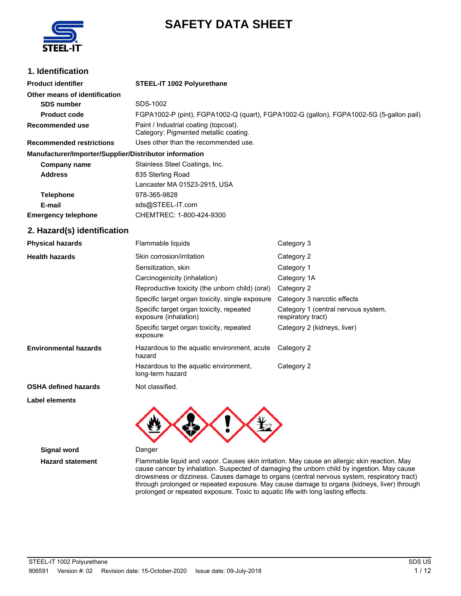

# **SAFETY DATA SHEET**

# **1. Identification**

| <b>Product identifier</b>                              | STEEL-IT 1002 Polyurethane                                                              |                                                           |  |
|--------------------------------------------------------|-----------------------------------------------------------------------------------------|-----------------------------------------------------------|--|
| Other means of identification                          |                                                                                         |                                                           |  |
| <b>SDS number</b>                                      | SDS-1002                                                                                |                                                           |  |
| <b>Product code</b>                                    | FGPA1002-P (pint), FGPA1002-Q (quart), FGPA1002-G (gallon), FGPA1002-5G (5-gallon pail) |                                                           |  |
| Recommended use                                        | Paint / Industrial coating (topcoat).<br>Category: Pigmented metallic coating.          |                                                           |  |
| <b>Recommended restrictions</b>                        | Uses other than the recommended use.                                                    |                                                           |  |
| Manufacturer/Importer/Supplier/Distributor information |                                                                                         |                                                           |  |
| <b>Company name</b>                                    | Stainless Steel Coatings, Inc.                                                          |                                                           |  |
| <b>Address</b>                                         | 835 Sterling Road                                                                       |                                                           |  |
|                                                        | Lancaster MA 01523-2915, USA                                                            |                                                           |  |
| <b>Telephone</b>                                       | 978-365-9828                                                                            |                                                           |  |
| E-mail                                                 | sds@STEEL-IT.com                                                                        |                                                           |  |
| <b>Emergency telephone</b>                             | CHEMTREC: 1-800-424-9300                                                                |                                                           |  |
| 2. Hazard(s) identification                            |                                                                                         |                                                           |  |
| <b>Physical hazards</b>                                | Flammable liquids                                                                       | Category 3                                                |  |
| <b>Health hazards</b>                                  | Skin corrosion/irritation                                                               | Category 2                                                |  |
|                                                        | Sensitization, skin                                                                     | Category 1                                                |  |
|                                                        | Carcinogenicity (inhalation)                                                            | Category 1A                                               |  |
|                                                        | Reproductive toxicity (the unborn child) (oral)                                         | Category 2                                                |  |
|                                                        | Specific target organ toxicity, single exposure                                         | Category 3 narcotic effects                               |  |
|                                                        | Specific target organ toxicity, repeated<br>exposure (inhalation)                       | Category 1 (central nervous system,<br>respiratory tract) |  |
|                                                        | Specific target organ toxicity, repeated<br>exposure                                    | Category 2 (kidneys, liver)                               |  |
| <b>Environmental hazards</b>                           | Hazardous to the aquatic environment, acute<br>hazard                                   | Category 2                                                |  |
|                                                        | Hazardous to the aquatic environment,<br>long-term hazard                               | Category 2                                                |  |
| <b>OSHA defined hazards</b>                            | Not classified.                                                                         |                                                           |  |
| Label elements                                         |                                                                                         |                                                           |  |
|                                                        |                                                                                         |                                                           |  |



**Signal word** Danger

**Hazard statement** Flammable liquid and vapor. Causes skin irritation. May cause an allergic skin reaction. May cause cancer by inhalation. Suspected of damaging the unborn child by ingestion. May cause drowsiness or dizziness. Causes damage to organs (central nervous system, respiratory tract) through prolonged or repeated exposure. May cause damage to organs (kidneys, liver) through prolonged or repeated exposure. Toxic to aquatic life with long lasting effects.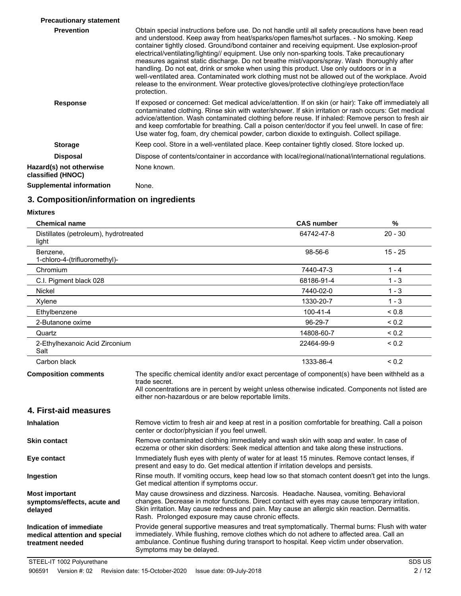| <b>Precautionary statement</b>               |                                                                                                                                                                                                                                                                                                                                                                                                                                                                                                                                                                                                                                                                                                                                                                                                        |
|----------------------------------------------|--------------------------------------------------------------------------------------------------------------------------------------------------------------------------------------------------------------------------------------------------------------------------------------------------------------------------------------------------------------------------------------------------------------------------------------------------------------------------------------------------------------------------------------------------------------------------------------------------------------------------------------------------------------------------------------------------------------------------------------------------------------------------------------------------------|
| <b>Prevention</b>                            | Obtain special instructions before use. Do not handle until all safety precautions have been read<br>and understood. Keep away from heat/sparks/open flames/hot surfaces. - No smoking. Keep<br>container tightly closed. Ground/bond container and receiving equipment. Use explosion-proof<br>electrical/ventilating/lighting// equipment. Use only non-sparking tools. Take precautionary<br>measures against static discharge. Do not breathe mist/vapors/spray. Wash thoroughly after<br>handling. Do not eat, drink or smoke when using this product. Use only outdoors or in a<br>well-ventilated area. Contaminated work clothing must not be allowed out of the workplace. Avoid<br>release to the environment. Wear protective gloves/protective clothing/eye protection/face<br>protection. |
| <b>Response</b>                              | If exposed or concerned: Get medical advice/attention. If on skin (or hair): Take off immediately all<br>contaminated clothing. Rinse skin with water/shower. If skin irritation or rash occurs: Get medical<br>advice/attention. Wash contaminated clothing before reuse. If inhaled: Remove person to fresh air<br>and keep comfortable for breathing. Call a poison center/doctor if you feel unwell. In case of fire:<br>Use water fog, foam, dry chemical powder, carbon dioxide to extinguish. Collect spillage.                                                                                                                                                                                                                                                                                 |
| <b>Storage</b>                               | Keep cool. Store in a well-ventilated place. Keep container tightly closed. Store locked up.                                                                                                                                                                                                                                                                                                                                                                                                                                                                                                                                                                                                                                                                                                           |
| <b>Disposal</b>                              | Dispose of contents/container in accordance with local/regional/national/international regulations.                                                                                                                                                                                                                                                                                                                                                                                                                                                                                                                                                                                                                                                                                                    |
| Hazard(s) not otherwise<br>classified (HNOC) | None known.                                                                                                                                                                                                                                                                                                                                                                                                                                                                                                                                                                                                                                                                                                                                                                                            |
| Supplemental information                     | None.                                                                                                                                                                                                                                                                                                                                                                                                                                                                                                                                                                                                                                                                                                                                                                                                  |

# **3. Composition/information on ingredients**

### **Mixtures**

| <b>Chemical name</b>                                                         |                                                                                                                                                                                                                                                                                                                                                | <b>CAS number</b> | %          |
|------------------------------------------------------------------------------|------------------------------------------------------------------------------------------------------------------------------------------------------------------------------------------------------------------------------------------------------------------------------------------------------------------------------------------------|-------------------|------------|
| Distillates (petroleum), hydrotreated<br>light                               |                                                                                                                                                                                                                                                                                                                                                | 64742-47-8        | $20 - 30$  |
| Benzene,<br>1-chloro-4-(trifluoromethyl)-                                    |                                                                                                                                                                                                                                                                                                                                                | 98-56-6           | $15 - 25$  |
| Chromium                                                                     |                                                                                                                                                                                                                                                                                                                                                | 7440-47-3         | $1 - 4$    |
| C.I. Pigment black 028                                                       |                                                                                                                                                                                                                                                                                                                                                | 68186-91-4        | $1 - 3$    |
| <b>Nickel</b>                                                                |                                                                                                                                                                                                                                                                                                                                                | 7440-02-0         | $1 - 3$    |
| Xylene                                                                       |                                                                                                                                                                                                                                                                                                                                                | 1330-20-7         | $1 - 3$    |
| Ethylbenzene                                                                 |                                                                                                                                                                                                                                                                                                                                                | 100-41-4          | < 0.8      |
| 2-Butanone oxime                                                             |                                                                                                                                                                                                                                                                                                                                                | 96-29-7           | ${}_{0.2}$ |
| Quartz                                                                       |                                                                                                                                                                                                                                                                                                                                                | 14808-60-7        | ${}_{0.2}$ |
| 2-Ethylhexanoic Acid Zirconium<br>Salt                                       |                                                                                                                                                                                                                                                                                                                                                | 22464-99-9        | ${}_{0.2}$ |
| Carbon black                                                                 |                                                                                                                                                                                                                                                                                                                                                | 1333-86-4         | ${}_{0.2}$ |
| <b>Composition comments</b><br>4. First-aid measures                         | The specific chemical identity and/or exact percentage of component(s) have been withheld as a<br>trade secret.<br>All concentrations are in percent by weight unless otherwise indicated. Components not listed are<br>either non-hazardous or are below reportable limits.                                                                   |                   |            |
| <b>Inhalation</b>                                                            | Remove victim to fresh air and keep at rest in a position comfortable for breathing. Call a poison<br>center or doctor/physician if you feel unwell.                                                                                                                                                                                           |                   |            |
| <b>Skin contact</b>                                                          | Remove contaminated clothing immediately and wash skin with soap and water. In case of<br>eczema or other skin disorders: Seek medical attention and take along these instructions.                                                                                                                                                            |                   |            |
| Eye contact                                                                  | Immediately flush eyes with plenty of water for at least 15 minutes. Remove contact lenses, if<br>present and easy to do. Get medical attention if irritation develops and persists.                                                                                                                                                           |                   |            |
| Ingestion                                                                    | Rinse mouth. If vomiting occurs, keep head low so that stomach content doesn't get into the lungs.<br>Get medical attention if symptoms occur.                                                                                                                                                                                                 |                   |            |
| <b>Most important</b><br>symptoms/effects, acute and<br>delayed              | May cause drowsiness and dizziness. Narcosis. Headache. Nausea, vomiting. Behavioral<br>changes. Decrease in motor functions. Direct contact with eyes may cause temporary irritation.<br>Skin irritation. May cause redness and pain. May cause an allergic skin reaction. Dermatitis.<br>Rash. Prolonged exposure may cause chronic effects. |                   |            |
| Indication of immediate<br>medical attention and special<br>treatment needed | Provide general supportive measures and treat symptomatically. Thermal burns: Flush with water<br>immediately. While flushing, remove clothes which do not adhere to affected area. Call an<br>ambulance. Continue flushing during transport to hospital. Keep victim under observation.<br>Symptoms may be delayed.                           |                   |            |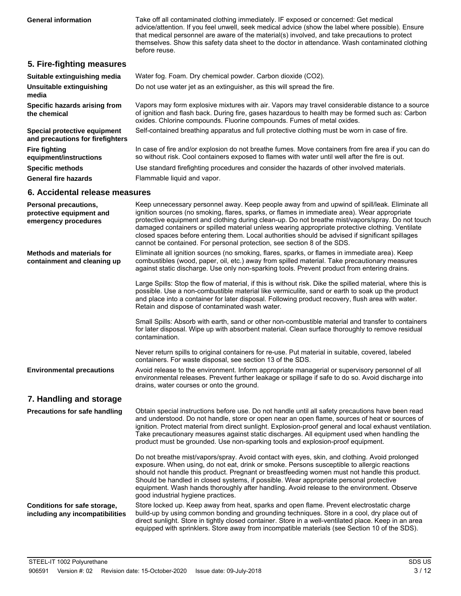Take off all contaminated clothing immediately. IF exposed or concerned: Get medical advice/attention. If you feel unwell, seek medical advice (show the label where possible). Ensure that medical personnel are aware of the material(s) involved, and take precautions to protect themselves. Show this safety data sheet to the doctor in attendance. Wash contaminated clothing before reuse. **General information**

## **5. Fire-fighting measures**

| Suitable extinguishing media                                     | Water fog. Foam. Dry chemical powder. Carbon dioxide (CO2).                                                                                                                                                                                                                    |
|------------------------------------------------------------------|--------------------------------------------------------------------------------------------------------------------------------------------------------------------------------------------------------------------------------------------------------------------------------|
| <b>Unsuitable extinguishing</b><br>media                         | Do not use water jet as an extinguisher, as this will spread the fire.                                                                                                                                                                                                         |
| Specific hazards arising from<br>the chemical                    | Vapors may form explosive mixtures with air. Vapors may travel considerable distance to a source<br>of ignition and flash back. During fire, gases hazardous to health may be formed such as: Carbon<br>oxides. Chlorine compounds. Fluorine compounds. Fumes of metal oxides. |
| Special protective equipment<br>and precautions for firefighters | Self-contained breathing apparatus and full protective clothing must be worn in case of fire.                                                                                                                                                                                  |
| <b>Fire fighting</b><br>equipment/instructions                   | In case of fire and/or explosion do not breathe fumes. Move containers from fire area if you can do<br>so without risk. Cool containers exposed to flames with water until well after the fire is out.                                                                         |
| <b>Specific methods</b>                                          | Use standard firefighting procedures and consider the hazards of other involved materials.                                                                                                                                                                                     |
| <b>General fire hazards</b>                                      | Flammable liquid and vapor.                                                                                                                                                                                                                                                    |

### **6. Accidental release measures**

| <b>Personal precautions,</b><br>protective equipment and<br>emergency procedures | Keep unnecessary personnel away. Keep people away from and upwind of spill/leak. Eliminate all<br>ignition sources (no smoking, flares, sparks, or flames in immediate area). Wear appropriate<br>protective equipment and clothing during clean-up. Do not breathe mist/vapors/spray. Do not touch<br>damaged containers or spilled material unless wearing appropriate protective clothing. Ventilate<br>closed spaces before entering them. Local authorities should be advised if significant spillages<br>cannot be contained. For personal protection, see section 8 of the SDS. |
|----------------------------------------------------------------------------------|----------------------------------------------------------------------------------------------------------------------------------------------------------------------------------------------------------------------------------------------------------------------------------------------------------------------------------------------------------------------------------------------------------------------------------------------------------------------------------------------------------------------------------------------------------------------------------------|
| <b>Methods and materials for</b><br>containment and cleaning up                  | Eliminate all ignition sources (no smoking, flares, sparks, or flames in immediate area). Keep<br>combustibles (wood, paper, oil, etc.) away from spilled material. Take precautionary measures<br>against static discharge. Use only non-sparking tools. Prevent product from entering drains.                                                                                                                                                                                                                                                                                        |
|                                                                                  | Large Spills: Stop the flow of material, if this is without risk. Dike the spilled material, where this is<br>possible. Use a non-combustible material like vermiculite, sand or earth to soak up the product<br>and place into a container for later disposal. Following product recovery, flush area with water.<br>Retain and dispose of contaminated wash water.                                                                                                                                                                                                                   |
|                                                                                  | Small Spills: Absorb with earth, sand or other non-combustible material and transfer to containers<br>for later disposal. Wipe up with absorbent material. Clean surface thoroughly to remove residual<br>contamination.                                                                                                                                                                                                                                                                                                                                                               |
|                                                                                  | Never return spills to original containers for re-use. Put material in suitable, covered, labeled<br>containers. For waste disposal, see section 13 of the SDS.                                                                                                                                                                                                                                                                                                                                                                                                                        |
| <b>Environmental precautions</b>                                                 | Avoid release to the environment. Inform appropriate managerial or supervisory personnel of all<br>environmental releases. Prevent further leakage or spillage if safe to do so. Avoid discharge into<br>drains, water courses or onto the ground.                                                                                                                                                                                                                                                                                                                                     |
| 7. Handling and storage                                                          |                                                                                                                                                                                                                                                                                                                                                                                                                                                                                                                                                                                        |
| <b>Precautions for safe handling</b>                                             | Obtain special instructions before use. Do not handle until all safety precautions have been read<br>and understood. Do not handle, store or open near an open flame, sources of heat or sources of<br>ignition. Protect material from direct sunlight. Explosion-proof general and local exhaust ventilation.<br>Take precautionary measures against static discharges. All equipment used when handling the<br>product must be grounded. Use non-sparking tools and explosion-proof equipment.                                                                                       |
|                                                                                  | Do not breathe mist/vapors/spray. Avoid contact with eyes, skin, and clothing. Avoid prolonged<br>exposure. When using, do not eat, drink or smoke. Persons susceptible to allergic reactions<br>should not handle this product. Pregnant or breastfeeding women must not handle this product.<br>Should be handled in closed systems, if possible. Wear appropriate personal protective<br>equipment. Wash hands thoroughly after handling. Avoid release to the environment. Observe<br>good industrial hygiene practices.                                                           |
| Conditions for safe storage,<br>including any incompatibilities                  | Store locked up. Keep away from heat, sparks and open flame. Prevent electrostatic charge<br>build-up by using common bonding and grounding techniques. Store in a cool, dry place out of<br>direct sunlight. Store in tightly closed container. Store in a well-ventilated place. Keep in an area<br>equipped with sprinklers. Store away from incompatible materials (see Section 10 of the SDS).                                                                                                                                                                                    |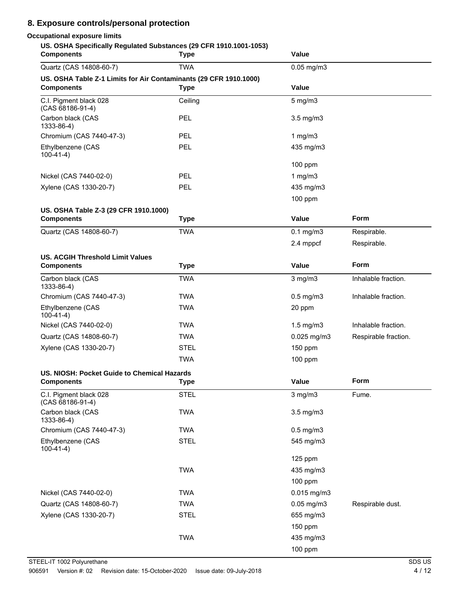# **8. Exposure controls/personal protection**

# **Occupational exposure limits**

| US. OSHA Specifically Regulated Substances (29 CFR 1910.1001-1053)<br><b>Components</b> | <b>Type</b> | Value                |                      |
|-----------------------------------------------------------------------------------------|-------------|----------------------|----------------------|
| Quartz (CAS 14808-60-7)                                                                 | <b>TWA</b>  | $0.05$ mg/m $3$      |                      |
| US. OSHA Table Z-1 Limits for Air Contaminants (29 CFR 1910.1000)<br><b>Components</b>  | <b>Type</b> | Value                |                      |
| C.I. Pigment black 028<br>$(CAS 68186-91-4)$                                            | Ceiling     | $5$ mg/m $3$         |                      |
| Carbon black (CAS<br>1333-86-4)                                                         | PEL         | $3.5$ mg/m $3$       |                      |
| Chromium (CAS 7440-47-3)                                                                | PEL         | 1 $mg/m3$            |                      |
| Ethylbenzene (CAS<br>$100-41-4)$                                                        | <b>PEL</b>  | 435 mg/m3            |                      |
|                                                                                         |             | 100 ppm              |                      |
| Nickel (CAS 7440-02-0)                                                                  | <b>PEL</b>  | 1 $mg/m3$            |                      |
| Xylene (CAS 1330-20-7)                                                                  | PEL         | 435 mg/m3            |                      |
|                                                                                         |             | 100 ppm              |                      |
| US. OSHA Table Z-3 (29 CFR 1910.1000)<br><b>Components</b>                              | <b>Type</b> | Value                | Form                 |
| Quartz (CAS 14808-60-7)                                                                 | <b>TWA</b>  | $0.1$ mg/m $3$       | Respirable.          |
|                                                                                         |             | 2.4 mppcf            | Respirable.          |
| <b>US. ACGIH Threshold Limit Values</b>                                                 |             |                      |                      |
| <b>Components</b>                                                                       | <b>Type</b> | Value                | Form                 |
| Carbon black (CAS<br>1333-86-4)                                                         | <b>TWA</b>  | $3$ mg/m $3$         | Inhalable fraction.  |
| Chromium (CAS 7440-47-3)                                                                | <b>TWA</b>  | $0.5$ mg/m $3$       | Inhalable fraction.  |
| Ethylbenzene (CAS<br>$100-41-4)$                                                        | <b>TWA</b>  | 20 ppm               |                      |
| Nickel (CAS 7440-02-0)                                                                  | <b>TWA</b>  | $1.5$ mg/m $3$       | Inhalable fraction.  |
| Quartz (CAS 14808-60-7)                                                                 | <b>TWA</b>  | $0.025$ mg/m3        | Respirable fraction. |
| Xylene (CAS 1330-20-7)                                                                  | <b>STEL</b> | 150 ppm              |                      |
|                                                                                         | <b>TWA</b>  | 100 ppm              |                      |
| US. NIOSH: Pocket Guide to Chemical Hazards<br><b>Components</b>                        | <b>Type</b> | Value                | Form                 |
| C.I. Pigment black 028                                                                  | <b>STEL</b> | $3$ mg/m $3$         | Fume.                |
| (CAS 68186-91-4)                                                                        |             |                      |                      |
| Carbon black (CAS<br>1333-86-4)                                                         | <b>TWA</b>  | 3.5 mg/m3            |                      |
| Chromium (CAS 7440-47-3)                                                                | <b>TWA</b>  | $0.5$ mg/m $3$       |                      |
| Ethylbenzene (CAS<br>$100-41-4)$                                                        | <b>STEL</b> | 545 mg/m3            |                      |
|                                                                                         |             | $125$ ppm            |                      |
|                                                                                         | <b>TWA</b>  | 435 mg/m3            |                      |
|                                                                                         |             | 100 ppm              |                      |
| Nickel (CAS 7440-02-0)                                                                  | <b>TWA</b>  | 0.015 mg/m3          |                      |
| Quartz (CAS 14808-60-7)                                                                 | <b>TWA</b>  | 0.05 mg/m3           | Respirable dust.     |
| Xylene (CAS 1330-20-7)                                                                  | <b>STEL</b> | 655 mg/m3<br>150 ppm |                      |
|                                                                                         | <b>TWA</b>  | 435 mg/m3            |                      |
|                                                                                         |             |                      |                      |
|                                                                                         |             | 100 ppm              |                      |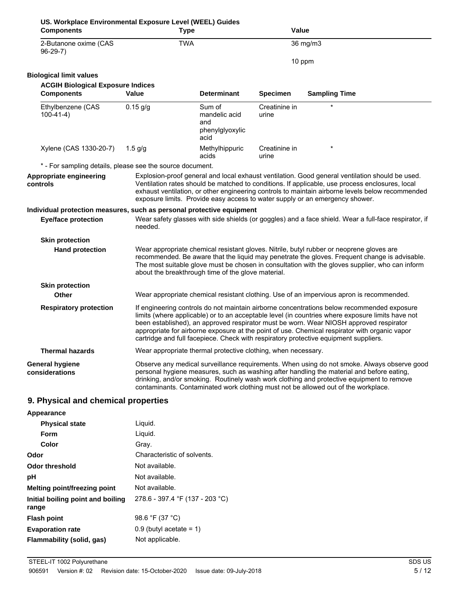| US. Workplace Environmental Exposure Level (WEEL) Guides              |             |                                                                                                                                                                                                                                                                                                                                                                                                                                                                                   |                        |                                                                                                                                                                                                                                                                                                                                                                                        |
|-----------------------------------------------------------------------|-------------|-----------------------------------------------------------------------------------------------------------------------------------------------------------------------------------------------------------------------------------------------------------------------------------------------------------------------------------------------------------------------------------------------------------------------------------------------------------------------------------|------------------------|----------------------------------------------------------------------------------------------------------------------------------------------------------------------------------------------------------------------------------------------------------------------------------------------------------------------------------------------------------------------------------------|
| <b>Components</b>                                                     | <b>Type</b> |                                                                                                                                                                                                                                                                                                                                                                                                                                                                                   | Value                  |                                                                                                                                                                                                                                                                                                                                                                                        |
| 2-Butanone oxime (CAS<br>$96-29-7)$                                   | <b>TWA</b>  |                                                                                                                                                                                                                                                                                                                                                                                                                                                                                   |                        | 36 mg/m3                                                                                                                                                                                                                                                                                                                                                                               |
|                                                                       |             |                                                                                                                                                                                                                                                                                                                                                                                                                                                                                   | 10 ppm                 |                                                                                                                                                                                                                                                                                                                                                                                        |
| <b>Biological limit values</b>                                        |             |                                                                                                                                                                                                                                                                                                                                                                                                                                                                                   |                        |                                                                                                                                                                                                                                                                                                                                                                                        |
| <b>ACGIH Biological Exposure Indices</b>                              |             |                                                                                                                                                                                                                                                                                                                                                                                                                                                                                   |                        |                                                                                                                                                                                                                                                                                                                                                                                        |
| <b>Components</b>                                                     | Value       | <b>Determinant</b>                                                                                                                                                                                                                                                                                                                                                                                                                                                                | <b>Specimen</b>        | <b>Sampling Time</b>                                                                                                                                                                                                                                                                                                                                                                   |
| Ethylbenzene (CAS<br>$100-41-4)$                                      | $0.15$ g/g  | Sum of<br>mandelic acid<br>and<br>phenylglyoxylic<br>acid                                                                                                                                                                                                                                                                                                                                                                                                                         | Creatinine in<br>urine |                                                                                                                                                                                                                                                                                                                                                                                        |
| Xylene (CAS 1330-20-7)                                                | $1.5$ g/g   | Methylhippuric<br>acids                                                                                                                                                                                                                                                                                                                                                                                                                                                           | Creatinine in<br>urine |                                                                                                                                                                                                                                                                                                                                                                                        |
| * - For sampling details, please see the source document.             |             |                                                                                                                                                                                                                                                                                                                                                                                                                                                                                   |                        |                                                                                                                                                                                                                                                                                                                                                                                        |
| Appropriate engineering<br>controls                                   |             |                                                                                                                                                                                                                                                                                                                                                                                                                                                                                   |                        | Explosion-proof general and local exhaust ventilation. Good general ventilation should be used.<br>Ventilation rates should be matched to conditions. If applicable, use process enclosures, local<br>exhaust ventilation, or other engineering controls to maintain airborne levels below recommended<br>exposure limits. Provide easy access to water supply or an emergency shower. |
| Individual protection measures, such as personal protective equipment |             |                                                                                                                                                                                                                                                                                                                                                                                                                                                                                   |                        |                                                                                                                                                                                                                                                                                                                                                                                        |
| <b>Eye/face protection</b>                                            | needed.     |                                                                                                                                                                                                                                                                                                                                                                                                                                                                                   |                        | Wear safety glasses with side shields (or goggles) and a face shield. Wear a full-face respirator, if                                                                                                                                                                                                                                                                                  |
| <b>Skin protection</b>                                                |             |                                                                                                                                                                                                                                                                                                                                                                                                                                                                                   |                        |                                                                                                                                                                                                                                                                                                                                                                                        |
| <b>Hand protection</b>                                                |             | Wear appropriate chemical resistant gloves. Nitrile, butyl rubber or neoprene gloves are<br>recommended. Be aware that the liquid may penetrate the gloves. Frequent change is advisable.<br>The most suitable glove must be chosen in consultation with the gloves supplier, who can inform<br>about the breakthrough time of the glove material.                                                                                                                                |                        |                                                                                                                                                                                                                                                                                                                                                                                        |
| <b>Skin protection</b>                                                |             |                                                                                                                                                                                                                                                                                                                                                                                                                                                                                   |                        |                                                                                                                                                                                                                                                                                                                                                                                        |
| Other                                                                 |             | Wear appropriate chemical resistant clothing. Use of an impervious apron is recommended.                                                                                                                                                                                                                                                                                                                                                                                          |                        |                                                                                                                                                                                                                                                                                                                                                                                        |
| <b>Respiratory protection</b>                                         |             | If engineering controls do not maintain airborne concentrations below recommended exposure<br>limits (where applicable) or to an acceptable level (in countries where exposure limits have not<br>been established), an approved respirator must be worn. Wear NIOSH approved respirator<br>appropriate for airborne exposure at the point of use. Chemical respirator with organic vapor<br>cartridge and full facepiece. Check with respiratory protective equipment suppliers. |                        |                                                                                                                                                                                                                                                                                                                                                                                        |
| <b>Thermal hazards</b>                                                |             | Wear appropriate thermal protective clothing, when necessary.                                                                                                                                                                                                                                                                                                                                                                                                                     |                        |                                                                                                                                                                                                                                                                                                                                                                                        |
| <b>General hygiene</b><br>considerations                              |             |                                                                                                                                                                                                                                                                                                                                                                                                                                                                                   |                        | Observe any medical surveillance requirements. When using do not smoke. Always observe good<br>personal hygiene measures, such as washing after handling the material and before eating,<br>drinking, and/or smoking. Routinely wash work clothing and protective equipment to remove<br>contaminants. Contaminated work clothing must not be allowed out of the workplace.            |
| 9. Physical and chemical properties                                   |             |                                                                                                                                                                                                                                                                                                                                                                                                                                                                                   |                        |                                                                                                                                                                                                                                                                                                                                                                                        |
| Appearance                                                            |             |                                                                                                                                                                                                                                                                                                                                                                                                                                                                                   |                        |                                                                                                                                                                                                                                                                                                                                                                                        |
|                                                                       |             |                                                                                                                                                                                                                                                                                                                                                                                                                                                                                   |                        |                                                                                                                                                                                                                                                                                                                                                                                        |

| <b>Physical state</b>                      | Liquid.                         |
|--------------------------------------------|---------------------------------|
| <b>Form</b>                                | Liguid.                         |
| Color                                      | Gray.                           |
| Odor                                       | Characteristic of solvents.     |
| Odor threshold                             | Not available.                  |
| рH                                         | Not available.                  |
| Melting point/freezing point               | Not available.                  |
| Initial boiling point and boiling<br>range | 278.6 - 397.4 °F (137 - 203 °C) |
| Flash point                                | 98.6 °F (37 °C)                 |
| <b>Evaporation rate</b>                    | $0.9$ (butyl acetate = 1)       |
| Flammability (solid, gas)                  | Not applicable.                 |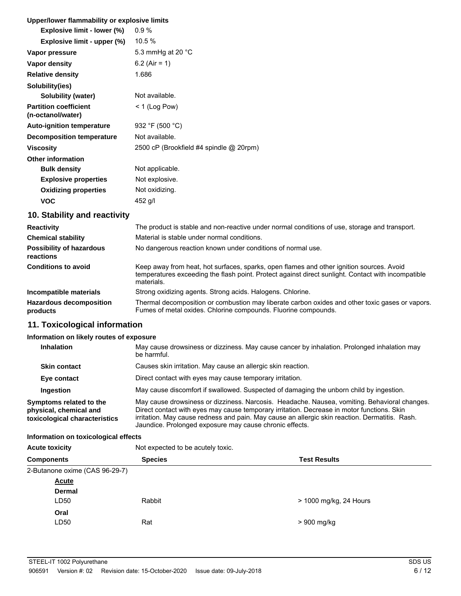# **Upper/lower flammability or explosive limits**

| Opper/lower hammability or explosive limits       |                                         |
|---------------------------------------------------|-----------------------------------------|
| Explosive limit - lower (%)                       | $0.9\%$                                 |
| Explosive limit - upper (%)                       | 10.5 %                                  |
| Vapor pressure                                    | 5.3 mmHg at 20 $^{\circ}$ C             |
| Vapor density                                     | 6.2 (Air = 1)                           |
| <b>Relative density</b>                           | 1.686                                   |
| Solubility(ies)                                   |                                         |
| Solubility (water)                                | Not available.                          |
| <b>Partition coefficient</b><br>(n-octanol/water) | $<$ 1 (Log Pow)                         |
| <b>Auto-ignition temperature</b>                  | 932 °F (500 °C)                         |
| <b>Decomposition temperature</b>                  | Not available.                          |
| <b>Viscosity</b>                                  | 2500 cP (Brookfield #4 spindle @ 20rpm) |
| <b>Other information</b>                          |                                         |
| <b>Bulk density</b>                               | Not applicable.                         |
| <b>Explosive properties</b>                       | Not explosive.                          |
| <b>Oxidizing properties</b>                       | Not oxidizing.                          |
| VOC                                               | 452 g/l                                 |

# **10. Stability and reactivity**

| <b>Reactivity</b>                            | The product is stable and non-reactive under normal conditions of use, storage and transport.                                                                                                                |  |
|----------------------------------------------|--------------------------------------------------------------------------------------------------------------------------------------------------------------------------------------------------------------|--|
| <b>Chemical stability</b>                    | Material is stable under normal conditions.                                                                                                                                                                  |  |
| <b>Possibility of hazardous</b><br>reactions | No dangerous reaction known under conditions of normal use.                                                                                                                                                  |  |
| <b>Conditions to avoid</b>                   | Keep away from heat, hot surfaces, sparks, open flames and other ignition sources. Avoid<br>temperatures exceeding the flash point. Protect against direct sunlight. Contact with incompatible<br>materials. |  |
| Incompatible materials                       | Strong oxidizing agents. Strong acids. Halogens. Chlorine.                                                                                                                                                   |  |
| <b>Hazardous decomposition</b><br>products   | Thermal decomposition or combustion may liberate carbon oxides and other toxic gases or vapors.<br>Fumes of metal oxides. Chlorine compounds. Fluorine compounds.                                            |  |

# **11. Toxicological information**

### **Information on likely routes of exposure**

| <b>Inhalation</b>                                                                  | May cause drowsiness or dizziness. May cause cancer by inhalation. Prolonged inhalation may<br>be harmful.                                                                                                                                                                                                                                              |
|------------------------------------------------------------------------------------|---------------------------------------------------------------------------------------------------------------------------------------------------------------------------------------------------------------------------------------------------------------------------------------------------------------------------------------------------------|
| <b>Skin contact</b>                                                                | Causes skin irritation. May cause an allergic skin reaction.                                                                                                                                                                                                                                                                                            |
| Eye contact                                                                        | Direct contact with eyes may cause temporary irritation.                                                                                                                                                                                                                                                                                                |
| Ingestion                                                                          | May cause discomfort if swallowed. Suspected of damaging the unborn child by ingestion.                                                                                                                                                                                                                                                                 |
| Symptoms related to the<br>physical, chemical and<br>toxicological characteristics | May cause drowsiness or dizziness. Narcosis. Headache. Nausea, vomiting. Behavioral changes.<br>Direct contact with eyes may cause temporary irritation. Decrease in motor functions. Skin<br>irritation. May cause redness and pain. May cause an allergic skin reaction. Dermatitis. Rash.<br>Jaundice. Prolonged exposure may cause chronic effects. |

### **Information on toxicological effects**

| <b>Acute toxicity</b>          | Not expected to be acutely toxic.     |                        |  |
|--------------------------------|---------------------------------------|------------------------|--|
| <b>Components</b>              | <b>Test Results</b><br><b>Species</b> |                        |  |
| 2-Butanone oxime (CAS 96-29-7) |                                       |                        |  |
| <b>Acute</b>                   |                                       |                        |  |
| <b>Dermal</b>                  |                                       |                        |  |
| LD50                           | Rabbit                                | > 1000 mg/kg, 24 Hours |  |
| Oral                           |                                       |                        |  |
| LD50                           | Rat                                   | > 900 mg/kg            |  |
|                                |                                       |                        |  |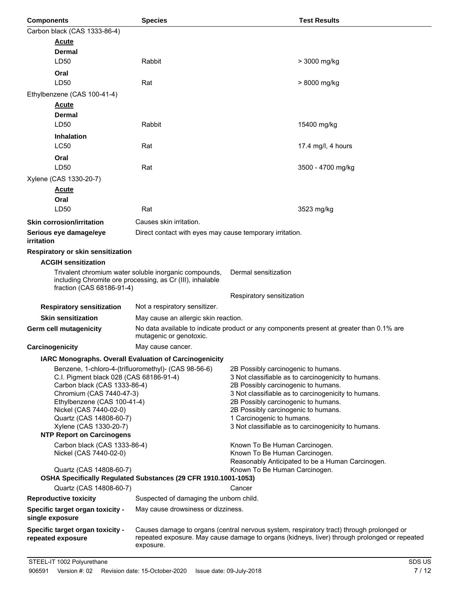| <b>Components</b>                                          | <b>Species</b>                                                 | <b>Test Results</b>                                                                          |  |
|------------------------------------------------------------|----------------------------------------------------------------|----------------------------------------------------------------------------------------------|--|
| Carbon black (CAS 1333-86-4)                               |                                                                |                                                                                              |  |
| <u>Acute</u>                                               |                                                                |                                                                                              |  |
| Dermal                                                     |                                                                |                                                                                              |  |
| LD50                                                       | Rabbit                                                         | > 3000 mg/kg                                                                                 |  |
| Oral                                                       |                                                                |                                                                                              |  |
| LD50                                                       | Rat                                                            | > 8000 mg/kg                                                                                 |  |
| Ethylbenzene (CAS 100-41-4)                                |                                                                |                                                                                              |  |
| <u>Acute</u>                                               |                                                                |                                                                                              |  |
| Dermal                                                     |                                                                |                                                                                              |  |
| LD50                                                       | Rabbit                                                         | 15400 mg/kg                                                                                  |  |
| <b>Inhalation</b>                                          |                                                                |                                                                                              |  |
| <b>LC50</b>                                                | Rat                                                            | 17.4 mg/l, 4 hours                                                                           |  |
| Oral                                                       |                                                                |                                                                                              |  |
| LD50                                                       | Rat                                                            | 3500 - 4700 mg/kg                                                                            |  |
| Xylene (CAS 1330-20-7)                                     |                                                                |                                                                                              |  |
| <u>Acute</u>                                               |                                                                |                                                                                              |  |
| Oral                                                       |                                                                |                                                                                              |  |
| LD50                                                       | Rat                                                            | 3523 mg/kg                                                                                   |  |
| <b>Skin corrosion/irritation</b>                           | Causes skin irritation.                                        |                                                                                              |  |
| Serious eye damage/eye                                     | Direct contact with eyes may cause temporary irritation.       |                                                                                              |  |
| irritation                                                 |                                                                |                                                                                              |  |
| Respiratory or skin sensitization                          |                                                                |                                                                                              |  |
| <b>ACGIH sensitization</b>                                 |                                                                |                                                                                              |  |
|                                                            | Trivalent chromium water soluble inorganic compounds,          | Dermal sensitization                                                                         |  |
|                                                            | including Chromite ore processing, as Cr (III), inhalable      |                                                                                              |  |
| fraction (CAS 68186-91-4)                                  |                                                                | Respiratory sensitization                                                                    |  |
| <b>Respiratory sensitization</b>                           | Not a respiratory sensitizer.                                  |                                                                                              |  |
| <b>Skin sensitization</b>                                  | May cause an allergic skin reaction.                           |                                                                                              |  |
| Germ cell mutagenicity                                     |                                                                | No data available to indicate product or any components present at greater than 0.1% are     |  |
|                                                            | mutagenic or genotoxic.                                        |                                                                                              |  |
| Carcinogenicity                                            | May cause cancer.                                              |                                                                                              |  |
| IARC Monographs. Overall Evaluation of Carcinogenicity     |                                                                |                                                                                              |  |
|                                                            | Benzene, 1-chloro-4-(trifluoromethyl)- (CAS 98-56-6)           | 2B Possibly carcinogenic to humans.                                                          |  |
| C.I. Pigment black 028 (CAS 68186-91-4)                    |                                                                | 3 Not classifiable as to carcinogenicity to humans.                                          |  |
| Carbon black (CAS 1333-86-4)<br>Chromium (CAS 7440-47-3)   |                                                                | 2B Possibly carcinogenic to humans.<br>3 Not classifiable as to carcinogenicity to humans.   |  |
| Ethylbenzene (CAS 100-41-4)                                |                                                                | 2B Possibly carcinogenic to humans.                                                          |  |
| Nickel (CAS 7440-02-0)                                     |                                                                | 2B Possibly carcinogenic to humans.                                                          |  |
| Quartz (CAS 14808-60-7)                                    |                                                                | 1 Carcinogenic to humans.<br>3 Not classifiable as to carcinogenicity to humans.             |  |
| Xylene (CAS 1330-20-7)<br><b>NTP Report on Carcinogens</b> |                                                                |                                                                                              |  |
| Carbon black (CAS 1333-86-4)                               |                                                                | Known To Be Human Carcinogen.                                                                |  |
| Nickel (CAS 7440-02-0)                                     |                                                                | Known To Be Human Carcinogen.                                                                |  |
|                                                            |                                                                | Reasonably Anticipated to be a Human Carcinogen.                                             |  |
| Quartz (CAS 14808-60-7)                                    | OSHA Specifically Regulated Substances (29 CFR 1910.1001-1053) | Known To Be Human Carcinogen.                                                                |  |
| Quartz (CAS 14808-60-7)                                    |                                                                | Cancer                                                                                       |  |
| <b>Reproductive toxicity</b>                               | Suspected of damaging the unborn child.                        |                                                                                              |  |
| Specific target organ toxicity -                           | May cause drowsiness or dizziness.                             |                                                                                              |  |
| single exposure                                            |                                                                |                                                                                              |  |
| Specific target organ toxicity -                           |                                                                | Causes damage to organs (central nervous system, respiratory tract) through prolonged or     |  |
| repeated exposure                                          | exposure.                                                      | repeated exposure. May cause damage to organs (kidneys, liver) through prolonged or repeated |  |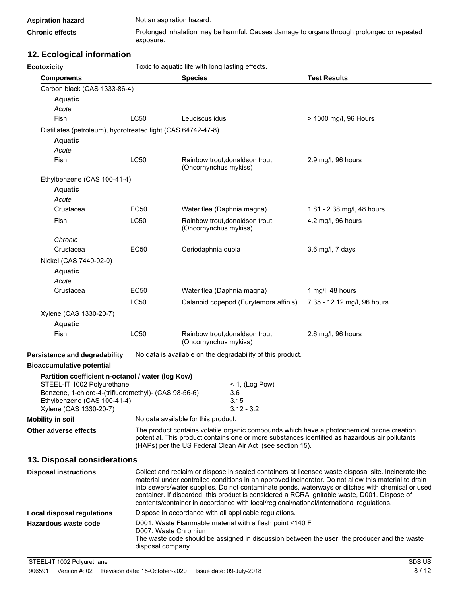| <b>Aspiration hazard</b> | Not an aspiration hazard.                                                                               |
|--------------------------|---------------------------------------------------------------------------------------------------------|
| <b>Chronic effects</b>   | Prolonged inhalation may be harmful. Causes damage to organs through prolonged or repeated<br>exposure. |

# **12. Ecological information**

**Ecotoxicity Example 2018** Toxic to aquatic life with long lasting effects.

| <b>Components</b>                                                                   |             | <b>Species</b>                                                                                                                            |                                                            | <b>Test Results</b>                                                                                                                                                                                                                                                                                                                                                                                  |
|-------------------------------------------------------------------------------------|-------------|-------------------------------------------------------------------------------------------------------------------------------------------|------------------------------------------------------------|------------------------------------------------------------------------------------------------------------------------------------------------------------------------------------------------------------------------------------------------------------------------------------------------------------------------------------------------------------------------------------------------------|
| Carbon black (CAS 1333-86-4)                                                        |             |                                                                                                                                           |                                                            |                                                                                                                                                                                                                                                                                                                                                                                                      |
| <b>Aquatic</b>                                                                      |             |                                                                                                                                           |                                                            |                                                                                                                                                                                                                                                                                                                                                                                                      |
| Acute                                                                               |             |                                                                                                                                           |                                                            |                                                                                                                                                                                                                                                                                                                                                                                                      |
| Fish                                                                                | LC50        | Leuciscus idus                                                                                                                            |                                                            | > 1000 mg/l, 96 Hours                                                                                                                                                                                                                                                                                                                                                                                |
| Distillates (petroleum), hydrotreated light (CAS 64742-47-8)                        |             |                                                                                                                                           |                                                            |                                                                                                                                                                                                                                                                                                                                                                                                      |
| <b>Aquatic</b>                                                                      |             |                                                                                                                                           |                                                            |                                                                                                                                                                                                                                                                                                                                                                                                      |
| Acute                                                                               |             |                                                                                                                                           |                                                            |                                                                                                                                                                                                                                                                                                                                                                                                      |
| Fish                                                                                | LC50        | (Oncorhynchus mykiss)                                                                                                                     | Rainbow trout, donaldson trout                             | 2.9 mg/l, 96 hours                                                                                                                                                                                                                                                                                                                                                                                   |
| Ethylbenzene (CAS 100-41-4)                                                         |             |                                                                                                                                           |                                                            |                                                                                                                                                                                                                                                                                                                                                                                                      |
| <b>Aquatic</b>                                                                      |             |                                                                                                                                           |                                                            |                                                                                                                                                                                                                                                                                                                                                                                                      |
| Acute                                                                               |             |                                                                                                                                           |                                                            |                                                                                                                                                                                                                                                                                                                                                                                                      |
| Crustacea                                                                           | EC50        |                                                                                                                                           | Water flea (Daphnia magna)                                 | 1.81 - 2.38 mg/l, 48 hours                                                                                                                                                                                                                                                                                                                                                                           |
| Fish                                                                                | LC50        | (Oncorhynchus mykiss)                                                                                                                     | Rainbow trout, donaldson trout                             | 4.2 mg/l, 96 hours                                                                                                                                                                                                                                                                                                                                                                                   |
| Chronic                                                                             |             |                                                                                                                                           |                                                            |                                                                                                                                                                                                                                                                                                                                                                                                      |
| Crustacea                                                                           | <b>EC50</b> | Ceriodaphnia dubia                                                                                                                        |                                                            | 3.6 mg/l, 7 days                                                                                                                                                                                                                                                                                                                                                                                     |
| Nickel (CAS 7440-02-0)                                                              |             |                                                                                                                                           |                                                            |                                                                                                                                                                                                                                                                                                                                                                                                      |
| <b>Aquatic</b>                                                                      |             |                                                                                                                                           |                                                            |                                                                                                                                                                                                                                                                                                                                                                                                      |
| Acute                                                                               |             |                                                                                                                                           |                                                            |                                                                                                                                                                                                                                                                                                                                                                                                      |
| Crustacea                                                                           | EC50        |                                                                                                                                           | Water flea (Daphnia magna)                                 | 1 mg/l, 48 hours                                                                                                                                                                                                                                                                                                                                                                                     |
|                                                                                     | LC50        |                                                                                                                                           | Calanoid copepod (Eurytemora affinis)                      | 7.35 - 12.12 mg/l, 96 hours                                                                                                                                                                                                                                                                                                                                                                          |
| Xylene (CAS 1330-20-7)                                                              |             |                                                                                                                                           |                                                            |                                                                                                                                                                                                                                                                                                                                                                                                      |
| <b>Aquatic</b>                                                                      |             |                                                                                                                                           |                                                            |                                                                                                                                                                                                                                                                                                                                                                                                      |
| Fish                                                                                | LC50        | (Oncorhynchus mykiss)                                                                                                                     | Rainbow trout, donaldson trout                             | 2.6 mg/l, 96 hours                                                                                                                                                                                                                                                                                                                                                                                   |
| Persistence and degradability                                                       |             |                                                                                                                                           | No data is available on the degradability of this product. |                                                                                                                                                                                                                                                                                                                                                                                                      |
| <b>Bioaccumulative potential</b>                                                    |             |                                                                                                                                           |                                                            |                                                                                                                                                                                                                                                                                                                                                                                                      |
| Partition coefficient n-octanol / water (log Kow)                                   |             |                                                                                                                                           |                                                            |                                                                                                                                                                                                                                                                                                                                                                                                      |
| STEEL-IT 1002 Polyurethane                                                          |             |                                                                                                                                           | $<$ 1, (Log Pow)                                           |                                                                                                                                                                                                                                                                                                                                                                                                      |
| Benzene, 1-chloro-4-(trifluoromethyl)- (CAS 98-56-6)<br>Ethylbenzene (CAS 100-41-4) |             |                                                                                                                                           | 3.6<br>3.15                                                |                                                                                                                                                                                                                                                                                                                                                                                                      |
| Xylene (CAS 1330-20-7)                                                              |             |                                                                                                                                           | $3.12 - 3.2$                                               |                                                                                                                                                                                                                                                                                                                                                                                                      |
| <b>Mobility in soil</b>                                                             |             | No data available for this product.                                                                                                       |                                                            |                                                                                                                                                                                                                                                                                                                                                                                                      |
| Other adverse effects                                                               |             |                                                                                                                                           | (HAPs) per the US Federal Clean Air Act (see section 15).  | The product contains volatile organic compounds which have a photochemical ozone creation<br>potential. This product contains one or more substances identified as hazardous air pollutants                                                                                                                                                                                                          |
| 13. Disposal considerations                                                         |             |                                                                                                                                           |                                                            |                                                                                                                                                                                                                                                                                                                                                                                                      |
| <b>Disposal instructions</b>                                                        |             |                                                                                                                                           |                                                            | Collect and reclaim or dispose in sealed containers at licensed waste disposal site. Incinerate the                                                                                                                                                                                                                                                                                                  |
|                                                                                     |             |                                                                                                                                           |                                                            | material under controlled conditions in an approved incinerator. Do not allow this material to drain<br>into sewers/water supplies. Do not contaminate ponds, waterways or ditches with chemical or used<br>container. If discarded, this product is considered a RCRA ignitable waste, D001. Dispose of<br>contents/container in accordance with local/regional/national/international regulations. |
| Local disposal regulations                                                          |             |                                                                                                                                           | Dispose in accordance with all applicable regulations.     |                                                                                                                                                                                                                                                                                                                                                                                                      |
| Hazardous waste code                                                                |             |                                                                                                                                           | D001: Waste Flammable material with a flash point <140 F   |                                                                                                                                                                                                                                                                                                                                                                                                      |
|                                                                                     |             | D007: Waste Chromium<br>The waste code should be assigned in discussion between the user, the producer and the waste<br>disposal company. |                                                            |                                                                                                                                                                                                                                                                                                                                                                                                      |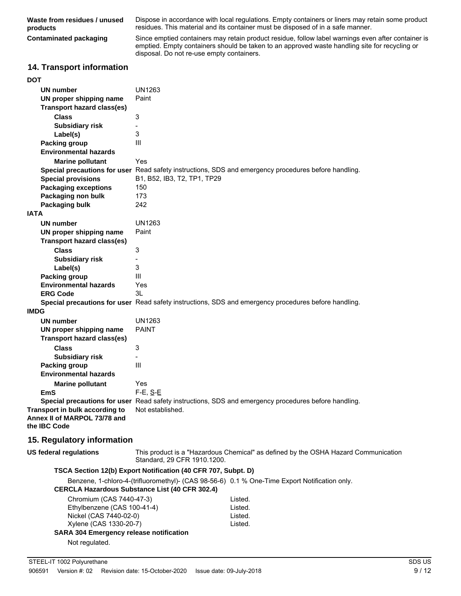**Waste from residues / unused products**

Dispose in accordance with local regulations. Empty containers or liners may retain some product residues. This material and its container must be disposed of in a safe manner.

**Contaminated packaging**

Since emptied containers may retain product residue, follow label warnings even after container is emptied. Empty containers should be taken to an approved waste handling site for recycling or disposal. Do not re-use empty containers.

# **14. Transport information**

|     | ייטקטושוו די |  |
|-----|--------------|--|
| DOT |              |  |
|     | UN numher    |  |

| UN number                                                                      | UN1263                                                        |                                                                                                      |
|--------------------------------------------------------------------------------|---------------------------------------------------------------|------------------------------------------------------------------------------------------------------|
| UN proper shipping name                                                        | Paint                                                         |                                                                                                      |
| <b>Transport hazard class(es)</b>                                              |                                                               |                                                                                                      |
| <b>Class</b>                                                                   | 3                                                             |                                                                                                      |
| <b>Subsidiary risk</b>                                                         | $\overline{\phantom{0}}$                                      |                                                                                                      |
| Label(s)                                                                       | 3                                                             |                                                                                                      |
| <b>Packing group</b>                                                           | III                                                           |                                                                                                      |
| <b>Environmental hazards</b>                                                   |                                                               |                                                                                                      |
| <b>Marine pollutant</b>                                                        | Yes                                                           |                                                                                                      |
|                                                                                |                                                               | Special precautions for user Read safety instructions, SDS and emergency procedures before handling. |
| <b>Special provisions</b>                                                      | B1, B52, IB3, T2, TP1, TP29                                   |                                                                                                      |
| <b>Packaging exceptions</b>                                                    | 150                                                           |                                                                                                      |
| Packaging non bulk                                                             | 173                                                           |                                                                                                      |
| Packaging bulk                                                                 | 242                                                           |                                                                                                      |
| <b>IATA</b>                                                                    |                                                               |                                                                                                      |
| UN number                                                                      | <b>UN1263</b>                                                 |                                                                                                      |
| UN proper shipping name                                                        | Paint                                                         |                                                                                                      |
| <b>Transport hazard class(es)</b>                                              |                                                               |                                                                                                      |
| <b>Class</b>                                                                   | 3                                                             |                                                                                                      |
| <b>Subsidiary risk</b>                                                         | $\overline{\phantom{0}}$                                      |                                                                                                      |
| Label(s)                                                                       | 3                                                             |                                                                                                      |
| <b>Packing group</b>                                                           | III                                                           |                                                                                                      |
| <b>Environmental hazards</b>                                                   | Yes                                                           |                                                                                                      |
| <b>ERG Code</b>                                                                | 3L                                                            |                                                                                                      |
|                                                                                |                                                               | Special precautions for user Read safety instructions, SDS and emergency procedures before handling. |
| <b>IMDG</b>                                                                    |                                                               |                                                                                                      |
| <b>UN number</b>                                                               | <b>UN1263</b>                                                 |                                                                                                      |
| UN proper shipping name                                                        | <b>PAINT</b>                                                  |                                                                                                      |
| <b>Transport hazard class(es)</b>                                              |                                                               |                                                                                                      |
| <b>Class</b>                                                                   | 3                                                             |                                                                                                      |
| <b>Subsidiary risk</b>                                                         | $\overline{\phantom{0}}$                                      |                                                                                                      |
| Packing group                                                                  | Ш                                                             |                                                                                                      |
| <b>Environmental hazards</b>                                                   |                                                               |                                                                                                      |
| <b>Marine pollutant</b>                                                        | Yes                                                           |                                                                                                      |
| <b>EmS</b>                                                                     | $F-E$ , $S-E$                                                 |                                                                                                      |
|                                                                                |                                                               | Special precautions for user Read safety instructions, SDS and emergency procedures before handling. |
| Transport in bulk according to<br>Annex II of MARPOL 73/78 and<br>the IBC Code | Not established.                                              |                                                                                                      |
| 15. Regulatory information                                                     |                                                               |                                                                                                      |
| <b>US federal regulations</b>                                                  | Standard, 29 CFR 1910.1200.                                   | This product is a "Hazardous Chemical" as defined by the OSHA Hazard Communication                   |
|                                                                                | TSCA Section 12(b) Export Notification (40 CFR 707, Subpt. D) |                                                                                                      |
|                                                                                |                                                               | Benzene, 1-chloro-4-(trifluoromethyl)- (CAS 98-56-6) 0.1 % One-Time Export Notification only.        |
|                                                                                | <b>CERCLA Hazardous Substance List (40 CFR 302.4)</b>         |                                                                                                      |
| Chromium (CAS 7440-47-3)                                                       |                                                               | Listed.                                                                                              |
| Ethylbenzene (CAS 100-41-4)                                                    |                                                               | Listed.                                                                                              |
| Nickel (CAS 7440-02-0)                                                         |                                                               | Listed.                                                                                              |

Xylene (CAS 1330-20-7) Listed.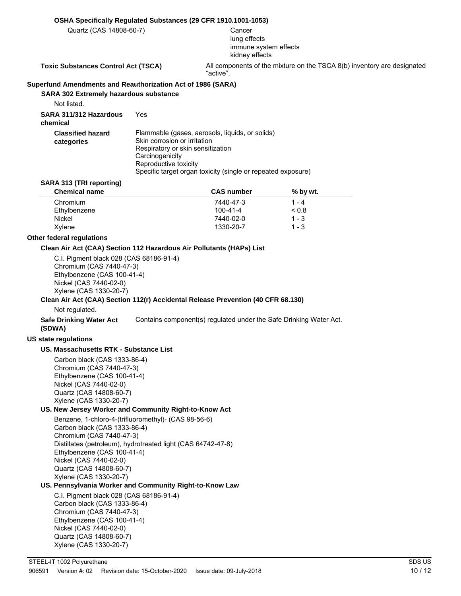#### **OSHA Specifically Regulated Substances (29 CFR 1910.1001-1053)**

Quartz (CAS 14808-60-7) Cancer

# lung effects immune system effects kidney effects

**Toxic Substances Control Act (TSCA)** All components of the mixture on the TSCA 8(b) inventory are designated "active".

#### **Superfund Amendments and Reauthorization Act of 1986 (SARA)**

**SARA 302 Extremely hazardous substance**

Not listed.

**SARA 311/312 Hazardous** Yes **chemical**

| <b>Classified hazard</b><br>categories | Flammable (gases, aerosols, liquids, or solids)<br>Skin corrosion or irritation<br>Respiratory or skin sensitization<br>Carcinogenicity<br>Reproductive toxicity |
|----------------------------------------|------------------------------------------------------------------------------------------------------------------------------------------------------------------|
|                                        | Specific target organ toxicity (single or repeated exposure)                                                                                                     |

#### **SARA 313 (TRI reporting)**

| <b>CAS number</b> | % by wt.       |  |
|-------------------|----------------|--|
| 7440-47-3         | 1 - 4          |  |
| $100 - 41 - 4$    | ${}^{8}$ < 0.8 |  |
| 7440-02-0         | $1 - 3$        |  |
| 1330-20-7         | $1 - 3$        |  |
|                   |                |  |

#### **Other federal regulations**

#### **Clean Air Act (CAA) Section 112 Hazardous Air Pollutants (HAPs) List**

C.I. Pigment black 028 (CAS 68186-91-4) Chromium (CAS 7440-47-3) Ethylbenzene (CAS 100-41-4) Nickel (CAS 7440-02-0) Xylene (CAS 1330-20-7)

#### **Clean Air Act (CAA) Section 112(r) Accidental Release Prevention (40 CFR 68.130)**

Not regulated.

**Safe Drinking Water Act** Contains component(s) regulated under the Safe Drinking Water Act. **(SDWA)**

#### **US state regulations**

#### **US. Massachusetts RTK - Substance List**

Carbon black (CAS 1333-86-4) Chromium (CAS 7440-47-3) Ethylbenzene (CAS 100-41-4) Nickel (CAS 7440-02-0) Quartz (CAS 14808-60-7) Xylene (CAS 1330-20-7)

### **US. New Jersey Worker and Community Right-to-Know Act**

Benzene, 1-chloro-4-(trifluoromethyl)- (CAS 98-56-6) Carbon black (CAS 1333-86-4) Chromium (CAS 7440-47-3) Distillates (petroleum), hydrotreated light (CAS 64742-47-8) Ethylbenzene (CAS 100-41-4) Nickel (CAS 7440-02-0) Quartz (CAS 14808-60-7) Xylene (CAS 1330-20-7)

### **US. Pennsylvania Worker and Community Right-to-Know Law**

C.I. Pigment black 028 (CAS 68186-91-4) Carbon black (CAS 1333-86-4) Chromium (CAS 7440-47-3) Ethylbenzene (CAS 100-41-4) Nickel (CAS 7440-02-0) Quartz (CAS 14808-60-7) Xylene (CAS 1330-20-7)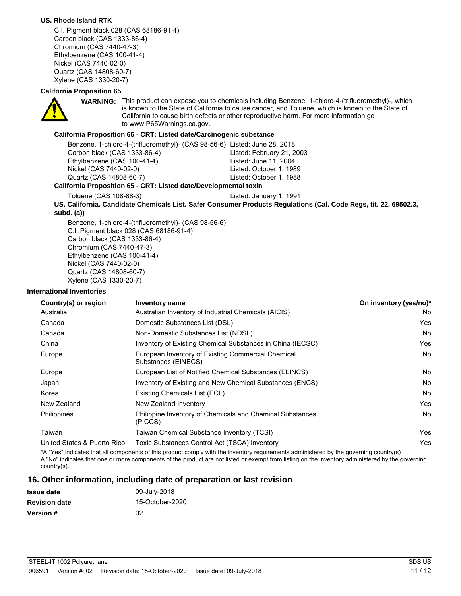### **US. Rhode Island RTK**

C.I. Pigment black 028 (CAS 68186-91-4) Carbon black (CAS 1333-86-4) Chromium (CAS 7440-47-3) Ethylbenzene (CAS 100-41-4) Nickel (CAS 7440-02-0) Quartz (CAS 14808-60-7) Xylene (CAS 1330-20-7)

### **California Proposition 65**



WARNING: This product can expose you to chemicals including Benzene, 1-chloro-4-(trifluoromethyl)-, which is known to the State of California to cause cancer, and Toluene, which is known to the State of California to cause birth defects or other reproductive harm. For more information go to www.P65Warnings.ca.gov.

### **California Proposition 65 - CRT: Listed date/Carcinogenic substance**

| Benzene, 1-chloro-4-(trifluoromethyl)- (CAS 98-56-6) Listed: June 28, 2018 |                           |  |  |
|----------------------------------------------------------------------------|---------------------------|--|--|
| Carbon black (CAS 1333-86-4)                                               | Listed: February 21, 2003 |  |  |
| Ethylbenzene (CAS 100-41-4)                                                | Listed: June 11, 2004     |  |  |
| Nickel (CAS 7440-02-0)                                                     | Listed: October 1, 1989   |  |  |
| Quartz (CAS 14808-60-7)                                                    | Listed: October 1, 1988   |  |  |
| fornia Proposition 65 - CRT: Listed date/Developmental toxin               |                           |  |  |

#### **California Proposition 65 - CRT: Listed date/Developmental toxin**

Toluene (CAS 108-88-3) Listed: January 1, 1991

**US. California. Candidate Chemicals List. Safer Consumer Products Regulations (Cal. Code Regs, tit. 22, 69502.3, subd. (a))**

Benzene, 1-chloro-4-(trifluoromethyl)- (CAS 98-56-6) C.I. Pigment black 028 (CAS 68186-91-4) Carbon black (CAS 1333-86-4) Chromium (CAS 7440-47-3) Ethylbenzene (CAS 100-41-4) Nickel (CAS 7440-02-0) Quartz (CAS 14808-60-7) Xylene (CAS 1330-20-7)

#### **International Inventories**

| Country(s) or region        | <b>Inventory name</b>                                                     | On inventory (yes/no)* |
|-----------------------------|---------------------------------------------------------------------------|------------------------|
| Australia                   | Australian Inventory of Industrial Chemicals (AICIS)                      | No                     |
| Canada                      | Domestic Substances List (DSL)                                            | Yes                    |
| Canada                      | Non-Domestic Substances List (NDSL)                                       | No                     |
| China                       | Inventory of Existing Chemical Substances in China (IECSC)                | Yes                    |
| Europe                      | European Inventory of Existing Commercial Chemical<br>Substances (EINECS) | No                     |
| Europe                      | European List of Notified Chemical Substances (ELINCS)                    | No                     |
| Japan                       | Inventory of Existing and New Chemical Substances (ENCS)                  | No                     |
| Korea                       | Existing Chemicals List (ECL)                                             | No                     |
| New Zealand                 | New Zealand Inventory                                                     | Yes                    |
| <b>Philippines</b>          | Philippine Inventory of Chemicals and Chemical Substances<br>(PICCS)      | No                     |
| Taiwan                      | Taiwan Chemical Substance Inventory (TCSI)                                | Yes                    |
| United States & Puerto Rico | Toxic Substances Control Act (TSCA) Inventory                             | Yes                    |

\*A "Yes" indicates that all components of this product comply with the inventory requirements administered by the governing country(s) A "No" indicates that one or more components of the product are not listed or exempt from listing on the inventory administered by the governing country(s).

### **16. Other information, including date of preparation or last revision**

| <b>Issue date</b>    | 09-July-2018    |
|----------------------|-----------------|
| <b>Revision date</b> | 15-October-2020 |
| <b>Version #</b>     | 02              |